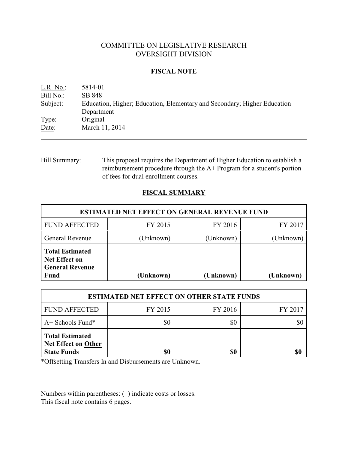# COMMITTEE ON LEGISLATIVE RESEARCH OVERSIGHT DIVISION

### **FISCAL NOTE**

| L.R. No.: | 5814-01                                                                  |
|-----------|--------------------------------------------------------------------------|
| Bill No.: | SB 848                                                                   |
| Subject:  | Education, Higher; Education, Elementary and Secondary; Higher Education |
|           | Department                                                               |
| Type:     | Original                                                                 |
| Date:     | March 11, 2014                                                           |
|           |                                                                          |

Bill Summary: This proposal requires the Department of Higher Education to establish a reimbursement procedure through the A+ Program for a student's portion of fees for dual enrollment courses.

## **FISCAL SUMMARY**

| <b>ESTIMATED NET EFFECT ON GENERAL REVENUE FUND</b>                                     |           |           |           |  |
|-----------------------------------------------------------------------------------------|-----------|-----------|-----------|--|
| <b>FUND AFFECTED</b>                                                                    | FY 2015   | FY 2016   | FY 2017   |  |
| <b>General Revenue</b>                                                                  | (Unknown) | (Unknown) | (Unknown) |  |
| <b>Total Estimated</b><br><b>Net Effect on</b><br><b>General Revenue</b><br><b>Fund</b> | (Unknown) | (Unknown) | (Unknown) |  |

| <b>ESTIMATED NET EFFECT ON OTHER STATE FUNDS</b>                           |         |         |         |  |
|----------------------------------------------------------------------------|---------|---------|---------|--|
| <b>FUND AFFECTED</b>                                                       | FY 2015 | FY 2016 | FY 2017 |  |
| $A+$ Schools Fund*                                                         | \$0     | \$0     |         |  |
| <b>Total Estimated</b><br><b>Net Effect on Other</b><br><b>State Funds</b> | \$0     | \$0     | \$0     |  |

\*Offsetting Transfers In and Disbursements are Unknown.

Numbers within parentheses: ( ) indicate costs or losses. This fiscal note contains 6 pages.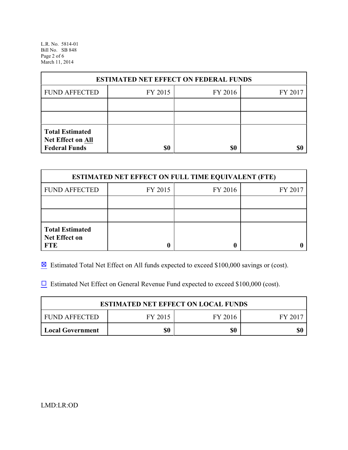L.R. No. 5814-01 Bill No. SB 848 Page 2 of 6 March 11, 2014

| <b>ESTIMATED NET EFFECT ON FEDERAL FUNDS</b> |         |         |         |  |
|----------------------------------------------|---------|---------|---------|--|
| <b>FUND AFFECTED</b>                         | FY 2015 | FY 2016 | FY 2017 |  |
|                                              |         |         |         |  |
|                                              |         |         |         |  |
| <b>Total Estimated</b><br>Net Effect on All  |         |         |         |  |
| <b>Federal Funds</b>                         | \$0     | \$0     |         |  |

| <b>ESTIMATED NET EFFECT ON FULL TIME EQUIVALENT (FTE)</b>    |         |         |         |  |
|--------------------------------------------------------------|---------|---------|---------|--|
| <b>FUND AFFECTED</b>                                         | FY 2015 | FY 2016 | FY 2017 |  |
|                                                              |         |         |         |  |
|                                                              |         |         |         |  |
| <b>Total Estimated</b><br><b>Net Effect on</b><br><b>FTE</b> |         |         |         |  |

 $\boxtimes$  Estimated Total Net Effect on All funds expected to exceed \$100,000 savings or (cost).

 $\Box$  Estimated Net Effect on General Revenue Fund expected to exceed \$100,000 (cost).

| <b>ESTIMATED NET EFFECT ON LOCAL FUNDS</b> |         |         |       |  |
|--------------------------------------------|---------|---------|-------|--|
| FUND AFFECTED                              | FY 2015 | FY 2016 | FY 20 |  |
| Local Government                           | \$0     | \$0     | \$0   |  |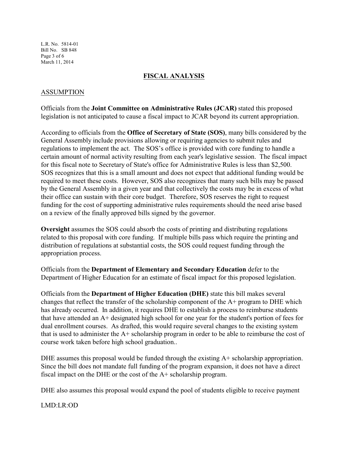L.R. No. 5814-01 Bill No. SB 848 Page 3 of 6 March 11, 2014

### **FISCAL ANALYSIS**

### ASSUMPTION

Officials from the **Joint Committee on Administrative Rules (JCAR)** stated this proposed legislation is not anticipated to cause a fiscal impact to JCAR beyond its current appropriation.

According to officials from the **Office of Secretary of State (SOS)**, many bills considered by the General Assembly include provisions allowing or requiring agencies to submit rules and regulations to implement the act. The SOS's office is provided with core funding to handle a certain amount of normal activity resulting from each year's legislative session. The fiscal impact for this fiscal note to Secretary of State's office for Administrative Rules is less than \$2,500. SOS recognizes that this is a small amount and does not expect that additional funding would be required to meet these costs. However, SOS also recognizes that many such bills may be passed by the General Assembly in a given year and that collectively the costs may be in excess of what their office can sustain with their core budget. Therefore, SOS reserves the right to request funding for the cost of supporting administrative rules requirements should the need arise based on a review of the finally approved bills signed by the governor.

**Oversight** assumes the SOS could absorb the costs of printing and distributing regulations related to this proposal with core funding. If multiple bills pass which require the printing and distribution of regulations at substantial costs, the SOS could request funding through the appropriation process.

Officials from the **Department of Elementary and Secondary Education** defer to the Department of Higher Education for an estimate of fiscal impact for this proposed legislation.

Officials from the **Department of Higher Education (DHE)** state this bill makes several changes that reflect the transfer of the scholarship component of the A+ program to DHE which has already occurred. In addition, it requires DHE to establish a process to reimburse students that have attended an A+ designated high school for one year for the student's portion of fees for dual enrollment courses. As drafted, this would require several changes to the existing system that is used to administer the A+ scholarship program in order to be able to reimburse the cost of course work taken before high school graduation..

DHE assumes this proposal would be funded through the existing  $A<sup>+</sup>$  scholarship appropriation. Since the bill does not mandate full funding of the program expansion, it does not have a direct fiscal impact on the DHE or the cost of the A+ scholarship program.

DHE also assumes this proposal would expand the pool of students eligible to receive payment

LMD:LR:OD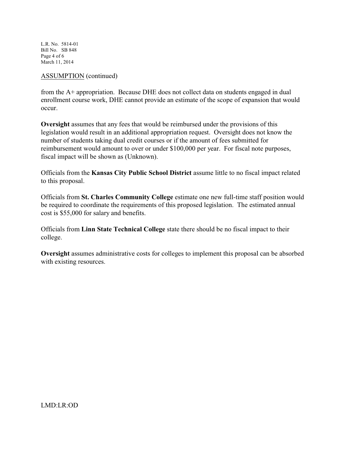L.R. No. 5814-01 Bill No. SB 848 Page 4 of 6 March 11, 2014

#### ASSUMPTION (continued)

from the A+ appropriation. Because DHE does not collect data on students engaged in dual enrollment course work, DHE cannot provide an estimate of the scope of expansion that would occur.

**Oversight** assumes that any fees that would be reimbursed under the provisions of this legislation would result in an additional appropriation request. Oversight does not know the number of students taking dual credit courses or if the amount of fees submitted for reimbursement would amount to over or under \$100,000 per year. For fiscal note purposes, fiscal impact will be shown as (Unknown).

Officials from the **Kansas City Public School District** assume little to no fiscal impact related to this proposal.

Officials from **St. Charles Community College** estimate one new full-time staff position would be required to coordinate the requirements of this proposed legislation. The estimated annual cost is \$55,000 for salary and benefits.

Officials from **Linn State Technical College** state there should be no fiscal impact to their college.

**Oversight** assumes administrative costs for colleges to implement this proposal can be absorbed with existing resources.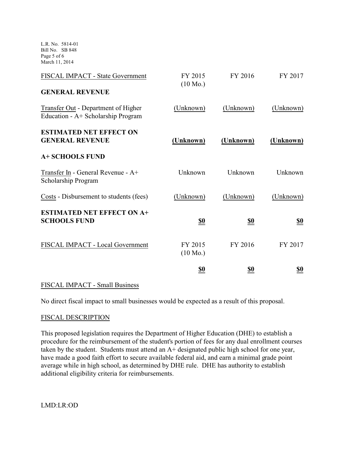L.R. No. 5814-01 Bill No. SB 848 Page 5 of 6 March 11, 2014

| FISCAL IMPACT - State Government                                          | FY 2015<br>$(10 \text{ Mo.})$ | FY 2016    | FY 2017    |
|---------------------------------------------------------------------------|-------------------------------|------------|------------|
| <b>GENERAL REVENUE</b>                                                    |                               |            |            |
| Transfer Out - Department of Higher<br>Education - A+ Scholarship Program | (Unknown)                     | (Unknown)  | (Unknown)  |
| <b>ESTIMATED NET EFFECT ON</b><br><b>GENERAL REVENUE</b>                  | (Unknown)                     | (Unknown)  | (Unknown)  |
| <b>A+ SCHOOLS FUND</b>                                                    |                               |            |            |
| Transfer In - General Revenue - A+<br>Scholarship Program                 | Unknown                       | Unknown    | Unknown    |
| Costs - Disbursement to students (fees)                                   | (Unknown)                     | (Unknown)  | (Unknown)  |
| <b>ESTIMATED NET EFFECT ON A+</b><br><b>SCHOOLS FUND</b>                  | <u>\$0</u>                    | <u>\$0</u> | <u>\$0</u> |
| FISCAL IMPACT - Local Government                                          | FY 2015<br>$(10 \text{ Mo.})$ | FY 2016    | FY 2017    |
|                                                                           | <u>so</u>                     | <u>\$0</u> | <u>\$0</u> |

## FISCAL IMPACT - Small Business

No direct fiscal impact to small businesses would be expected as a result of this proposal.

## FISCAL DESCRIPTION

This proposed legislation requires the Department of Higher Education (DHE) to establish a procedure for the reimbursement of the student's portion of fees for any dual enrollment courses taken by the student. Students must attend an A+ designated public high school for one year, have made a good faith effort to secure available federal aid, and earn a minimal grade point average while in high school, as determined by DHE rule. DHE has authority to establish additional eligibility criteria for reimbursements.

LMD:LR:OD